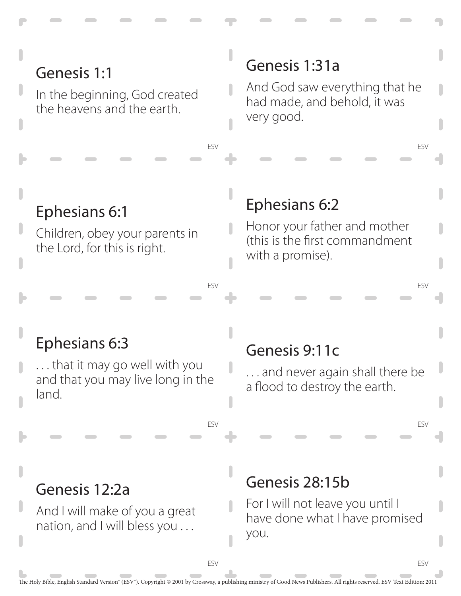## Genesis 1:1

In the beginning, God created the heavens and the earth.

#### Genesis 1:31a

And God saw everything that he had made, and behold, it was very good.

ESV

ESV

ESV

ESV

#### Ephesians 6:1

Children, obey your parents in the Lord, for this is right.

#### Ephesians 6:2

Honor your father and mother (this is the first commandment with a promise).

#### Ephesians 6:3

. . . that it may go well with you and that you may live long in the land.

#### Genesis 9:11c

. . . and never again shall there be a flood to destroy the earth.

#### Genesis 12:2a

And I will make of you a great nation, and I will bless you . . .

#### Genesis 28:15b

For I will not leave you until I have done what I have promised you.

ESV

ESV

ESV

ESV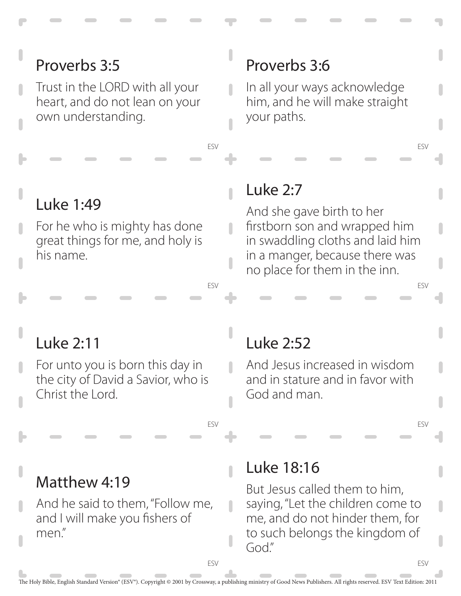# Proverbs 3:5

Trust in the LORD with all your heart, and do not lean on your own understanding.

# Luke 1:49

For he who is mighty has done great things for me, and holy is his name.

## Proverbs 3:6

In all your ways acknowledge him, and he will make straight your paths.

ESV

ESV

ESV

ESV

#### Luke 2:7

ESV

 $\overline{\phantom{a}}$ 

n

 $\mathbf{r}$ 

ESV

ESV

And she gave birth to her firstborn son and wrapped him in swaddling cloths and laid him in a manger, because there was no place for them in the inn.

#### Luke 2:11

For unto you is born this day in the city of David a Savior, who is Christ the Lord.

#### Luke 2:52

And Jesus increased in wisdom and in stature and in favor with God and man.

#### Matthew 4:19

And he said to them, "Follow me, and I will make you fishers of men."

#### Luke 18:16

But Jesus called them to him, saying, "Let the children come to me, and do not hinder them, for to such belongs the kingdom of God."

ESV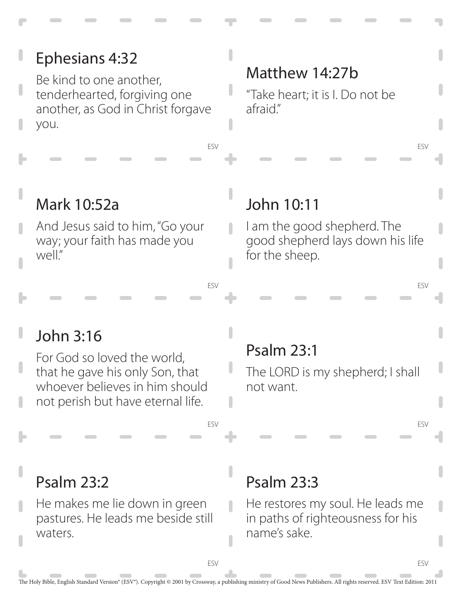# Ephesians 4:32

Be kind to one another, tenderhearted, forgiving one another, as God in Christ forgave you.

#### Matthew 14:27b

"Take heart; it is I. Do not be afraid."

# Mark 10:52a

And Jesus said to him, "Go your way; your faith has made you well."

#### John 10:11

ESV

ESV

ESV

I am the good shepherd. The good shepherd lays down his life for the sheep.

ESV

ESV

ESV

ESV

# John 3:16

For God so loved the world, that he gave his only Son, that whoever believes in him should not perish but have eternal life.

# Psalm 23:1

The LORD is my shepherd; I shall not want.

# Psalm 23:2

He makes me lie down in green pastures. He leads me beside still waters.

# Psalm 23:3

He restores my soul. He leads me in paths of righteousness for his name's sake.

ESV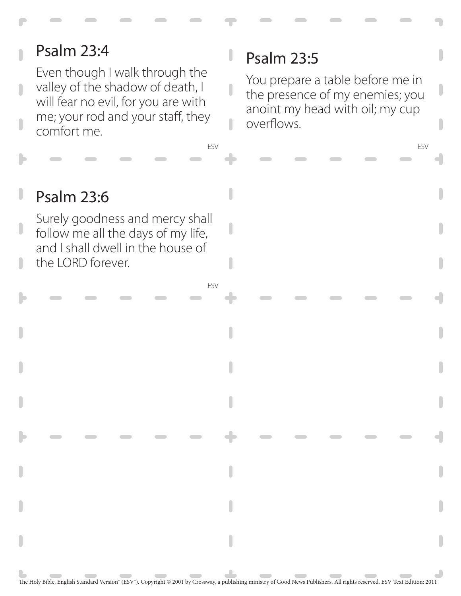# Psalm 23:4

Even though I walk through the valley of the shadow of death, I will fear no evil, for you are with me; your rod and your staff, they comfort me.

# Psalm 23:5

You prepare a table before me in the presence of my enemies; you anoint my head with oil; my cup overflows.

ESV

#### Psalm 23:6

Surely goodness and mercy shall follow me all the days of my life, and I shall dwell in the house of the LORD forever.

ESV

ESV

 $\overline{\phantom{a}}$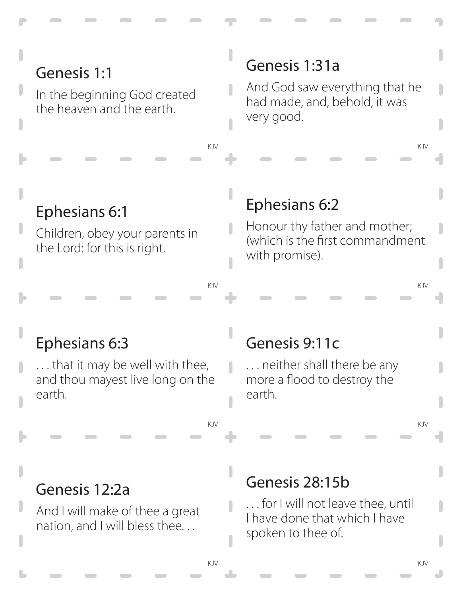# Genesis 1:1

In the beginning God created the heaven and the earth.

#### Genesis 1:31a

And God saw everything that he had made, and, behold, it was very good.

KJV KJV

# Ephesians 6:1

Children, obey your parents in the Lord: for this is right.

#### Ephesians 6:2

n

 $\overline{\phantom{a}}$ 

Honour thy father and mother; (which is the first commandment with promise).

#### Ephesians 6:3

. . . that it may be well with thee, and thou mayest live long on the earth.

#### Genesis 9:11c

. . . neither shall there be any more a flood to destroy the earth.

KJV KJV

KJV KJV

#### Genesis 12:2a

And I will make of thee a great nation, and I will bless thee. . .

#### Genesis 28:15b

. . . for I will not leave thee, until I have done that which I have spoken to thee of.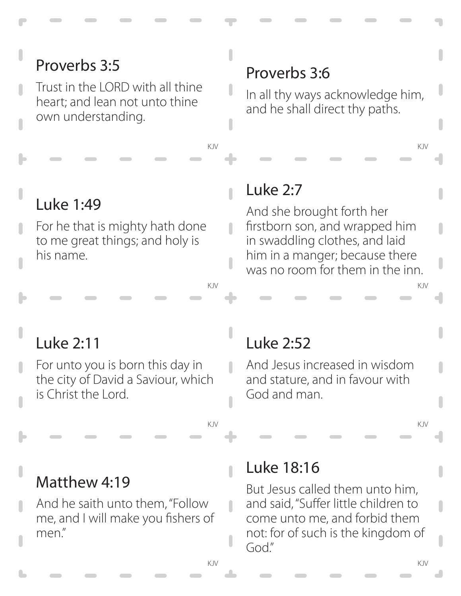# Proverbs 3:5

Trust in the LORD with all thine heart; and lean not unto thine own understanding.

# Luke 1:49

For he that is mighty hath done to me great things; and holy is his name.

# Proverbs 3:6

In all thy ways acknowledge him, and he shall direct thy paths.

KJV KJV

#### Luke 2:7

 $\overline{\phantom{a}}$ 

n

 $\mathbf{r}$ 

 $\overline{\phantom{a}}$ 

And she brought forth her firstborn son, and wrapped him in swaddling clothes, and laid him in a manger; because there was no room for them in the inn.

KJV KJV

# Luke 2:11

For unto you is born this day in the city of David a Saviour, which is Christ the Lord.

# Luke 2:52

And Jesus increased in wisdom and stature, and in favour with God and man.

KJV KJV

#### Matthew 4:19

And he saith unto them, "Follow me, and I will make you fishers of men."

#### Luke 18:16

But Jesus called them unto him, and said, "Suffer little children to come unto me, and forbid them not: for of such is the kingdom of God."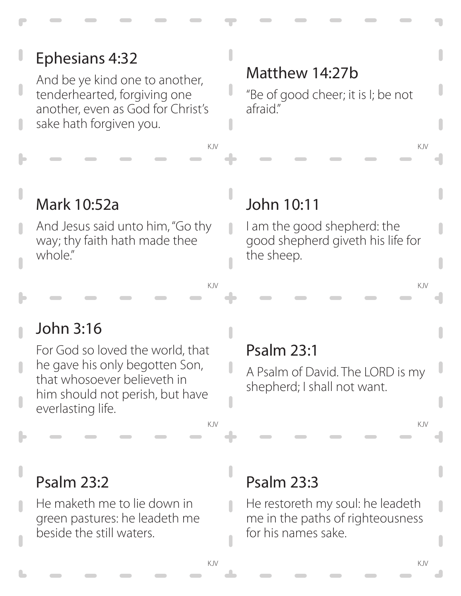#### Ephesians 4:32 And be ye kind one to another, tenderhearted, forgiving one

another, even as God for Christ's sake hath forgiven you.

# Matthew 14:27b

"Be of good cheer; it is I; be not afraid."

KJV KJV

# Mark 10:52a

And Jesus said unto him, "Go thy way; thy faith hath made thee whole."

# John 10:11

I am the good shepherd: the good shepherd giveth his life for the sheep.

KJV KJV

# John 3:16

For God so loved the world, that he gave his only begotten Son, that whosoever believeth in him should not perish, but have everlasting life.

# Psalm 23:1

A Psalm of David. The LORD is my shepherd; I shall not want.

KJV KJV

# Psalm 23:2

He maketh me to lie down in green pastures: he leadeth me beside the still waters.

# Psalm 23:3

He restoreth my soul: he leadeth me in the paths of righteousness for his names sake.

n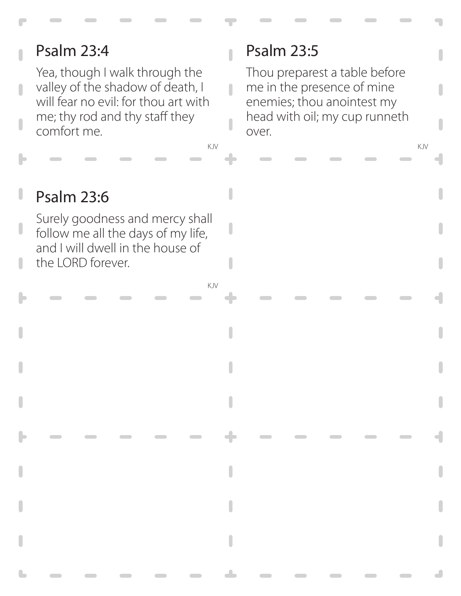# Psalm 23:4

Yea, though I walk through the valley of the shadow of death, I will fear no evil: for thou art with me; thy rod and thy staff they comfort me.

# Psalm 23:5

 $\overline{\phantom{a}}$ 

 $\overline{\phantom{a}}$ 

Thou preparest a table before me in the presence of mine enemies; thou anointest my head with oil; my cup runneth over.

KJV KJV

#### Psalm 23:6 ı

Surely goodness and mercy shall follow me all the days of my life, and I will dwell in the house of the LORD forever.

KJV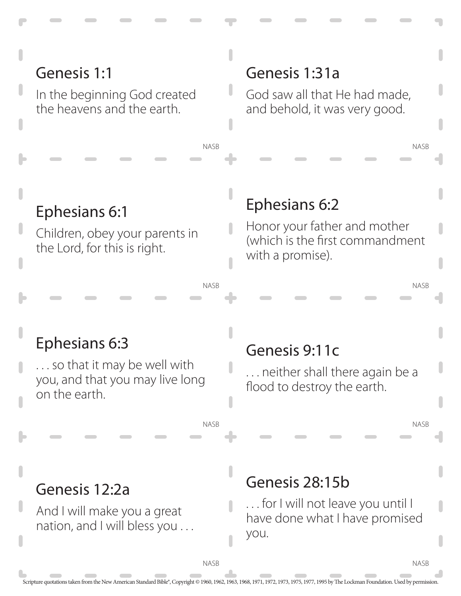# Genesis 1:1

In the beginning God created the heavens and the earth.

#### Genesis 1:31a

God saw all that He had made, and behold, it was very good.

NASB

NASB

NASB

**NASB** 

Ephesians 6:1

Children, obey your parents in the Lord, for this is right.

#### Ephesians 6:2

Honor your father and mother (which is the first commandment with a promise).

#### NASB

NASB

NASB

# Ephesians 6:3

. . . so that it may be well with you, and that you may live long on the earth.

#### Genesis 9:11c

. . . neither shall there again be a flood to destroy the earth.

#### Genesis 12:2a

And I will make you a great nation, and I will bless you . . .

#### Genesis 28:15b

. . . for I will not leave you until I have done what I have promised you.

**NASB**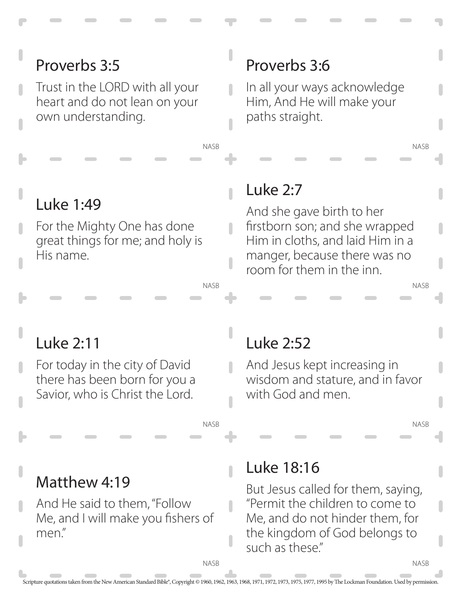# Proverbs 3:5

Trust in the LORD with all your heart and do not lean on your own understanding.

# Luke 1:49

For the Mighty One has done great things for me; and holy is His name.

# Proverbs 3:6

In all your ways acknowledge Him, And He will make your paths straight.

NASB

NASB

NASB

NASB

# Luke 2:7

NASB

 $\overline{\phantom{a}}$ 

 $\overline{\phantom{a}}$ 

NASB

And she gave birth to her firstborn son; and she wrapped Him in cloths, and laid Him in a manger, because there was no room for them in the inn.

# Luke 2:11

For today in the city of David there has been born for you a Savior, who is Christ the Lord.

# Luke 2:52

And Jesus kept increasing in wisdom and stature, and in favor with God and men.

#### Matthew 4:19

And He said to them, "Follow Me, and I will make you fishers of men."

#### Luke 18:16

But Jesus called for them, saying, "Permit the children to come to Me, and do not hinder them, for the kingdom of God belongs to such as these"

**NASB** 

NASB

n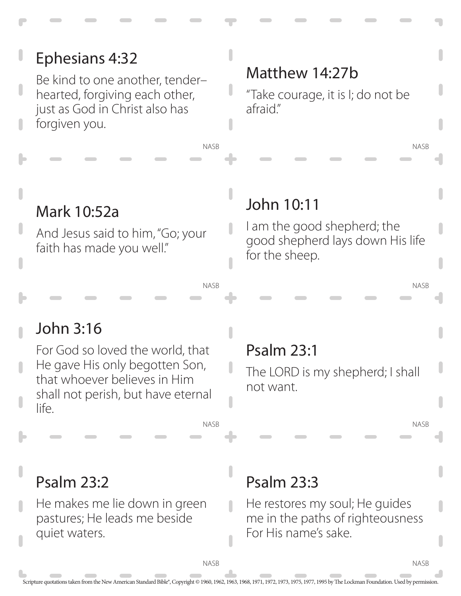#### NASB NASB NASB NASB NASB NASB Psalm 23:3 He restores my soul; He guides me in the paths of righteousness For His name's sake. Psalm 23:2 He makes me lie down in green pastures; He leads me beside quiet waters. Psalm 23:1 The LORD is my shepherd; I shall not want. John 3:16 For God so loved the world, that He gave His only begotten Son, that whoever believes in Him shall not perish, but have eternal life. John 10:11 I am the good shepherd; the good shepherd lays down His life for the sheep. Mark 10:52a And Jesus said to him, "Go; your faith has made you well." Matthew 14:27b "Take courage, it is I; do not be afraid." Ephesians 4:32 Be kind to one another, tender– hearted, forgiving each other, just as God in Christ also has forgiven you.

**NASB** 

**NASB**